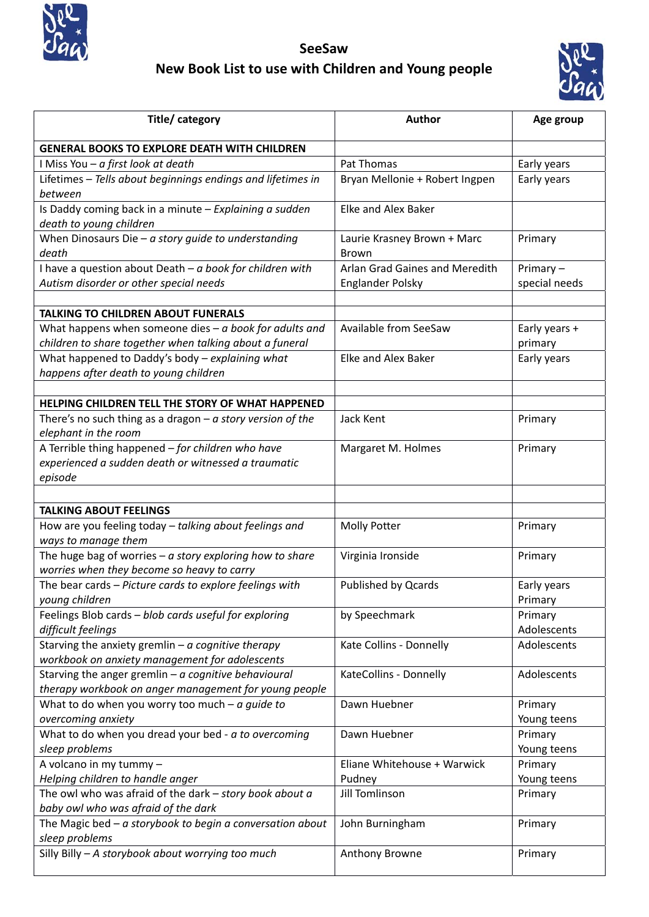

**SeeSaw New Book List to use with Children and Young people**



| Title/category                                                                                      | <b>Author</b>                                             | Age group                    |
|-----------------------------------------------------------------------------------------------------|-----------------------------------------------------------|------------------------------|
| <b>GENERAL BOOKS TO EXPLORE DEATH WITH CHILDREN</b>                                                 |                                                           |                              |
| I Miss You - a first look at death                                                                  | Pat Thomas                                                | Early years                  |
| Lifetimes - Tells about beginnings endings and lifetimes in<br>between                              | Bryan Mellonie + Robert Ingpen                            | Early years                  |
| Is Daddy coming back in a minute $-$ Explaining a sudden<br>death to young children                 | Elke and Alex Baker                                       |                              |
| When Dinosaurs Die - $a$ story quide to understanding<br>death                                      | Laurie Krasney Brown + Marc<br><b>Brown</b>               | Primary                      |
| I have a question about Death $-a$ book for children with<br>Autism disorder or other special needs | Arlan Grad Gaines and Meredith<br><b>Englander Polsky</b> | Primary $-$<br>special needs |
| <b>TALKING TO CHILDREN ABOUT FUNERALS</b>                                                           |                                                           |                              |
| What happens when someone dies $-a$ book for adults and                                             | Available from SeeSaw                                     | Early years +                |
| children to share together when talking about a funeral                                             |                                                           | primary                      |
| What happened to Daddy's body - explaining what                                                     | <b>Elke and Alex Baker</b>                                | Early years                  |
| happens after death to young children                                                               |                                                           |                              |
|                                                                                                     |                                                           |                              |
| HELPING CHILDREN TELL THE STORY OF WHAT HAPPENED                                                    |                                                           |                              |
| There's no such thing as a dragon $-a$ story version of the<br>elephant in the room                 | Jack Kent                                                 | Primary                      |
| A Terrible thing happened - for children who have                                                   | Margaret M. Holmes                                        | Primary                      |
| experienced a sudden death or witnessed a traumatic                                                 |                                                           |                              |
| episode                                                                                             |                                                           |                              |
|                                                                                                     |                                                           |                              |
| <b>TALKING ABOUT FEELINGS</b>                                                                       |                                                           |                              |
| How are you feeling today - talking about feelings and                                              | Molly Potter                                              | Primary                      |
| ways to manage them                                                                                 |                                                           |                              |
| The huge bag of worries $-a$ story exploring how to share                                           | Virginia Ironside                                         | Primary                      |
| worries when they become so heavy to carry                                                          |                                                           |                              |
| The bear cards - Picture cards to explore feelings with                                             | <b>Published by Qcards</b>                                | Early years                  |
| young children<br>Feelings Blob cards - blob cards useful for exploring                             |                                                           | Primary                      |
| difficult feelings                                                                                  | by Speechmark                                             | Primary<br>Adolescents       |
| Starving the anxiety gremlin $-a$ cognitive therapy                                                 | Kate Collins - Donnelly                                   | Adolescents                  |
| workbook on anxiety management for adolescents                                                      |                                                           |                              |
| Starving the anger gremlin $-a$ cognitive behavioural                                               | KateCollins - Donnelly                                    | Adolescents                  |
| therapy workbook on anger management for young people                                               |                                                           |                              |
| What to do when you worry too much $-a$ guide to                                                    | Dawn Huebner                                              | Primary                      |
| overcoming anxiety                                                                                  |                                                           | Young teens                  |
| What to do when you dread your bed - a to overcoming                                                | Dawn Huebner                                              | Primary                      |
| sleep problems                                                                                      |                                                           | Young teens                  |
| A volcano in my tummy -                                                                             | Eliane Whitehouse + Warwick                               | Primary                      |
| Helping children to handle anger                                                                    | Pudney                                                    | Young teens                  |
| The owl who was afraid of the dark $-$ story book about $a$                                         | <b>Jill Tomlinson</b>                                     | Primary                      |
| baby owl who was afraid of the dark<br>The Magic bed $-$ a storybook to begin a conversation about  | John Burningham                                           | Primary                      |
| sleep problems                                                                                      |                                                           |                              |
| Silly Billy - A storybook about worrying too much                                                   | Anthony Browne                                            | Primary                      |
|                                                                                                     |                                                           |                              |